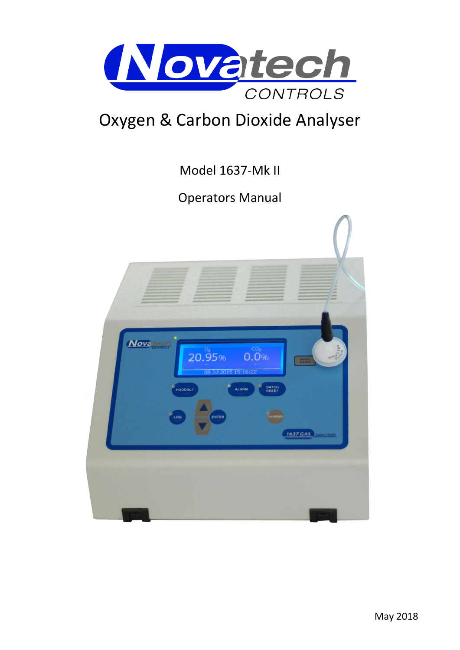

# Oxygen & Carbon Dioxide Analyser

Model 1637-Mk II

# Operators Manual

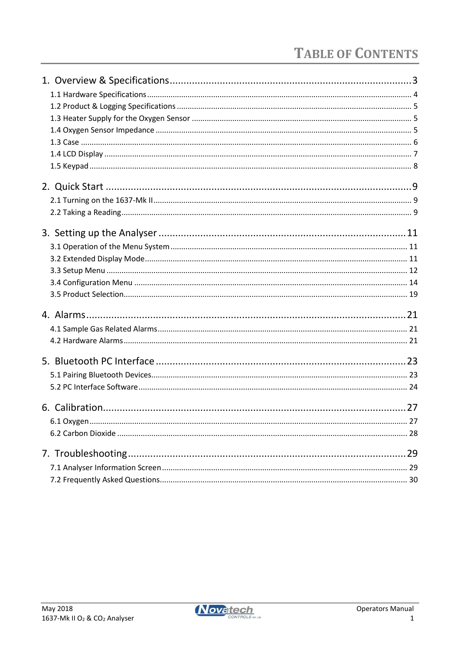# **TABLE OF CONTENTS**

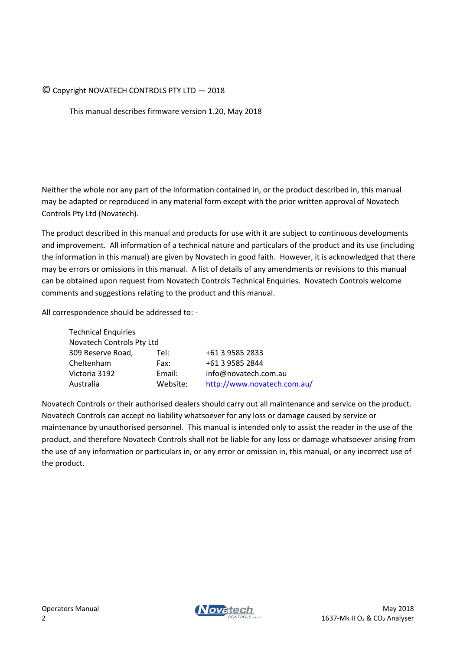#### © Copyright NOVATECH CONTROLS PTY LTD — 2018

This manual describes firmware version 1.20, May 2018

Neither the whole nor any part of the information contained in, or the product described in, this manual may be adapted or reproduced in any material form except with the prior written approval of Novatech Controls Pty Ltd (Novatech).

The product described in this manual and products for use with it are subject to continuous developments and improvement. All information of a technical nature and particulars of the product and its use (including the information in this manual) are given by Novatech in good faith. However, it is acknowledged that there may be errors or omissions in this manual. A list of details of any amendments or revisions to this manual can be obtained upon request from Novatech Controls Technical Enquiries. Novatech Controls welcome comments and suggestions relating to the product and this manual.

All correspondence should be addressed to: -

| <b>Technical Enquiries</b> |          |                             |
|----------------------------|----------|-----------------------------|
| Novatech Controls Pty Ltd  |          |                             |
| 309 Reserve Road,          | Tel:     | +61 3 9585 2833             |
| Cheltenham                 | Fax:     | +61 3 9585 2844             |
| Victoria 3192              | Email:   | info@novatech.com.au        |
| Australia                  | Website: | http://www.novatech.com.au/ |

Novatech Controls or their authorised dealers should carry out all maintenance and service on the product. Novatech Controls can accept no liability whatsoever for any loss or damage caused by service or maintenance by unauthorised personnel. This manual is intended only to assist the reader in the use of the product, and therefore Novatech Controls shall not be liable for any loss or damage whatsoever arising from the use of any information or particulars in, or any error or omission in, this manual, or any incorrect use of the product.

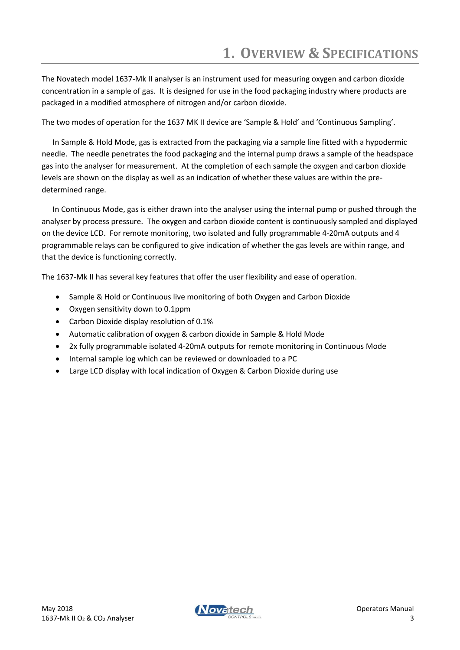<span id="page-4-0"></span>The Novatech model 1637-Mk II analyser is an instrument used for measuring oxygen and carbon dioxide concentration in a sample of gas. It is designed for use in the food packaging industry where products are packaged in a modified atmosphere of nitrogen and/or carbon dioxide.

The two modes of operation for the 1637 MK II device are 'Sample & Hold' and 'Continuous Sampling'.

In Sample & Hold Mode, gas is extracted from the packaging via a sample line fitted with a hypodermic needle. The needle penetrates the food packaging and the internal pump draws a sample of the headspace gas into the analyser for measurement. At the completion of each sample the oxygen and carbon dioxide levels are shown on the display as well as an indication of whether these values are within the predetermined range.

In Continuous Mode, gas is either drawn into the analyser using the internal pump or pushed through the analyser by process pressure. The oxygen and carbon dioxide content is continuously sampled and displayed on the device LCD. For remote monitoring, two isolated and fully programmable 4-20mA outputs and 4 programmable relays can be configured to give indication of whether the gas levels are within range, and that the device is functioning correctly.

The 1637-Mk II has several key features that offer the user flexibility and ease of operation.

- Sample & Hold or Continuous live monitoring of both Oxygen and Carbon Dioxide
- Oxygen sensitivity down to 0.1ppm
- Carbon Dioxide display resolution of 0.1%
- Automatic calibration of oxygen & carbon dioxide in Sample & Hold Mode
- 2x fully programmable isolated 4-20mA outputs for remote monitoring in Continuous Mode
- Internal sample log which can be reviewed or downloaded to a PC
- Large LCD display with local indication of Oxygen & Carbon Dioxide during use

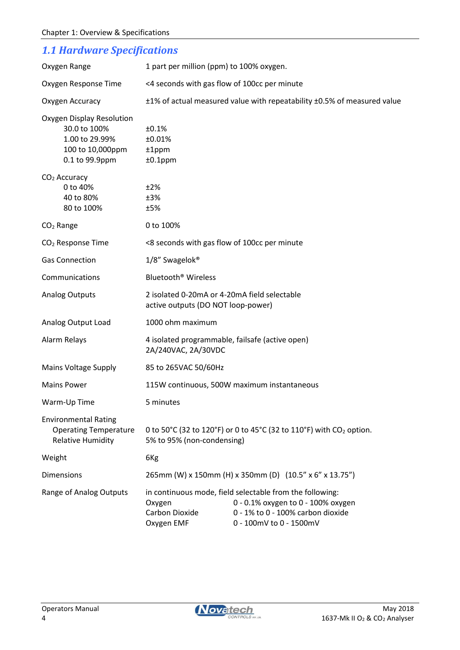# <span id="page-5-0"></span>*1.1 Hardware Specifications*

| Oxygen Range                                                                                      | 1 part per million (ppm) to 100% oxygen.                                           |                                                                                                                                                                |
|---------------------------------------------------------------------------------------------------|------------------------------------------------------------------------------------|----------------------------------------------------------------------------------------------------------------------------------------------------------------|
| Oxygen Response Time                                                                              | <4 seconds with gas flow of 100cc per minute                                       |                                                                                                                                                                |
| Oxygen Accuracy                                                                                   |                                                                                    | ±1% of actual measured value with repeatability ±0.5% of measured value                                                                                        |
| Oxygen Display Resolution<br>30.0 to 100%<br>1.00 to 29.99%<br>100 to 10,000ppm<br>0.1 to 99.9ppm | ±0.1%<br>±0.01%<br>$±1$ ppm<br>$±0.1$ ppm                                          |                                                                                                                                                                |
| CO <sub>2</sub> Accuracy<br>0 to 40%<br>40 to 80%<br>80 to 100%                                   | ±2%<br>±3%<br>±5%                                                                  |                                                                                                                                                                |
| $CO2$ Range                                                                                       | 0 to 100%                                                                          |                                                                                                                                                                |
| CO <sub>2</sub> Response Time                                                                     | <8 seconds with gas flow of 100cc per minute                                       |                                                                                                                                                                |
| <b>Gas Connection</b>                                                                             | $1/8$ " Swagelok®                                                                  |                                                                                                                                                                |
| Communications                                                                                    | Bluetooth <sup>®</sup> Wireless                                                    |                                                                                                                                                                |
| <b>Analog Outputs</b>                                                                             | 2 isolated 0-20mA or 4-20mA field selectable<br>active outputs (DO NOT loop-power) |                                                                                                                                                                |
| Analog Output Load                                                                                | 1000 ohm maximum                                                                   |                                                                                                                                                                |
| Alarm Relays                                                                                      | 4 isolated programmable, failsafe (active open)<br>2A/240VAC, 2A/30VDC             |                                                                                                                                                                |
| Mains Voltage Supply                                                                              | 85 to 265VAC 50/60Hz                                                               |                                                                                                                                                                |
| <b>Mains Power</b>                                                                                |                                                                                    | 115W continuous, 500W maximum instantaneous                                                                                                                    |
| Warm-Up Time                                                                                      | 5 minutes                                                                          |                                                                                                                                                                |
| <b>Environmental Rating</b><br><b>Operating Temperature</b><br><b>Relative Humidity</b>           | 5% to 95% (non-condensing)                                                         | 0 to 50°C (32 to 120°F) or 0 to 45°C (32 to 110°F) with CO <sub>2</sub> option.                                                                                |
| Weight                                                                                            | 6Kg                                                                                |                                                                                                                                                                |
| <b>Dimensions</b>                                                                                 |                                                                                    | 265mm (W) x 150mm (H) x 350mm (D) (10.5" x 6" x 13.75")                                                                                                        |
| Range of Analog Outputs                                                                           | Oxygen<br>Carbon Dioxide<br>Oxygen EMF                                             | in continuous mode, field selectable from the following:<br>0 - 0.1% oxygen to 0 - 100% oxygen<br>0 - 1% to 0 - 100% carbon dioxide<br>0 - 100mV to 0 - 1500mV |

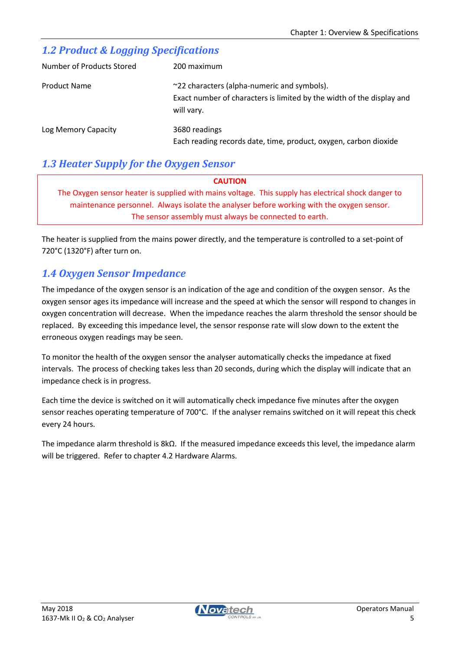# <span id="page-6-0"></span>*1.2 Product & Logging Specifications*

| Number of Products Stored | 200 maximum                                                                                                                        |
|---------------------------|------------------------------------------------------------------------------------------------------------------------------------|
| <b>Product Name</b>       | ~22 characters (alpha-numeric and symbols).<br>Exact number of characters is limited by the width of the display and<br>will vary. |
| Log Memory Capacity       | 3680 readings<br>Each reading records date, time, product, oxygen, carbon dioxide                                                  |

# <span id="page-6-1"></span>*1.3 Heater Supply for the Oxygen Sensor*

#### **CAUTION**

The Oxygen sensor heater is supplied with mains voltage. This supply has electrical shock danger to maintenance personnel. Always isolate the analyser before working with the oxygen sensor. The sensor assembly must always be connected to earth.

The heater is supplied from the mains power directly, and the temperature is controlled to a set-point of 720°C (1320°F) after turn on.

# <span id="page-6-2"></span>*1.4 Oxygen Sensor Impedance*

The impedance of the oxygen sensor is an indication of the age and condition of the oxygen sensor. As the oxygen sensor ages its impedance will increase and the speed at which the sensor will respond to changes in oxygen concentration will decrease. When the impedance reaches the alarm threshold the sensor should be replaced. By exceeding this impedance level, the sensor response rate will slow down to the extent the erroneous oxygen readings may be seen.

To monitor the health of the oxygen sensor the analyser automatically checks the impedance at fixed intervals. The process of checking takes less than 20 seconds, during which the display will indicate that an impedance check is in progress.

Each time the device is switched on it will automatically check impedance five minutes after the oxygen sensor reaches operating temperature of 700°C. If the analyser remains switched on it will repeat this check every 24 hours.

The impedance alarm threshold is 8kΩ. If the measured impedance exceeds this level, the impedance alarm will be triggered. Refer to chapter 4.2 Hardware Alarms.

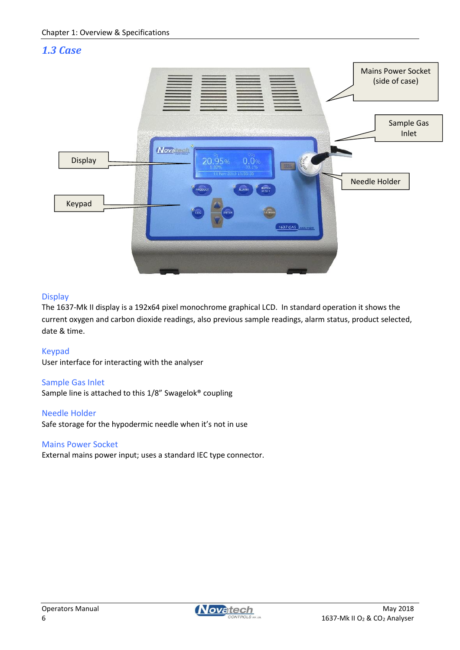### <span id="page-7-0"></span>*1.3 Case*



#### Display

The 1637-Mk II display is a 192x64 pixel monochrome graphical LCD. In standard operation it shows the current oxygen and carbon dioxide readings, also previous sample readings, alarm status, product selected, date & time.

#### Keypad

User interface for interacting with the analyser

#### Sample Gas Inlet

Sample line is attached to this 1/8" Swagelok® coupling

#### Needle Holder

Safe storage for the hypodermic needle when it's not in use

#### Mains Power Socket

External mains power input; uses a standard IEC type connector.

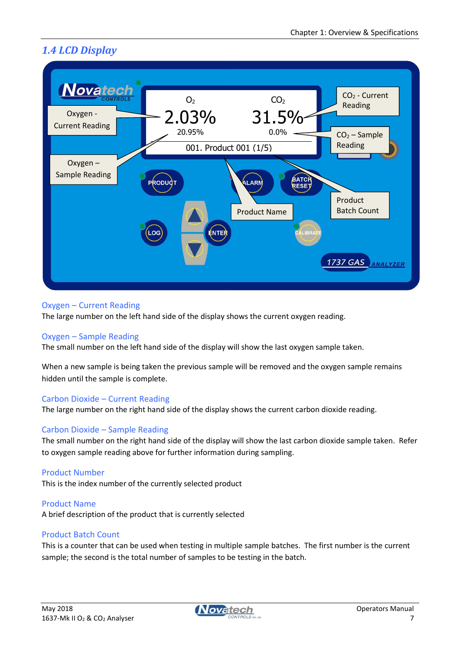# <span id="page-8-0"></span>*1.4 LCD Display*



#### Oxygen – Current Reading

The large number on the left hand side of the display shows the current oxygen reading.

#### Oxygen – Sample Reading

The small number on the left hand side of the display will show the last oxygen sample taken.

When a new sample is being taken the previous sample will be removed and the oxygen sample remains hidden until the sample is complete.

#### Carbon Dioxide – Current Reading

The large number on the right hand side of the display shows the current carbon dioxide reading.

#### Carbon Dioxide – Sample Reading

The small number on the right hand side of the display will show the last carbon dioxide sample taken. Refer to oxygen sample reading above for further information during sampling.

#### Product Number

This is the index number of the currently selected product

Product Name A brief description of the product that is currently selected

#### Product Batch Count

This is a counter that can be used when testing in multiple sample batches. The first number is the current sample; the second is the total number of samples to be testing in the batch.

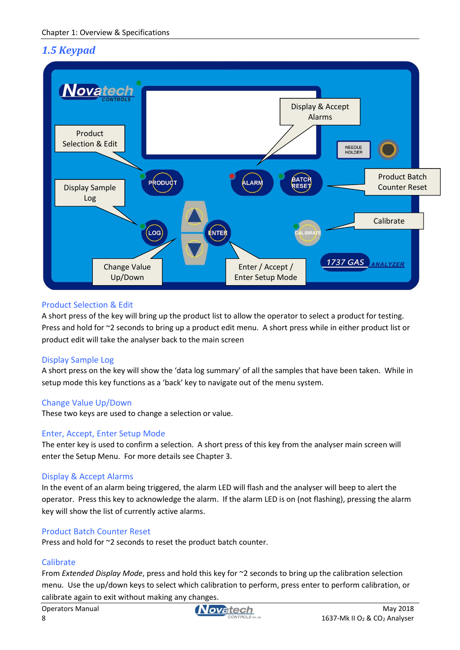# <span id="page-9-0"></span>*1.5 Keypad*



#### Product Selection & Edit

A short press of the key will bring up the product list to allow the operator to select a product for testing. Press and hold for ~2 seconds to bring up a product edit menu. A short press while in either product list or product edit will take the analyser back to the main screen

#### Display Sample Log

A short press on the key will show the 'data log summary' of all the samples that have been taken. While in setup mode this key functions as a 'back' key to navigate out of the menu system.

#### Change Value Up/Down

These two keys are used to change a selection or value.

#### Enter, Accept, Enter Setup Mode

The enter key is used to confirm a selection. A short press of this key from the analyser main screen will enter the Setup Menu. For more details see Chapter 3.

#### Display & Accept Alarms

In the event of an alarm being triggered, the alarm LED will flash and the analyser will beep to alert the operator. Press this key to acknowledge the alarm. If the alarm LED is on (not flashing), pressing the alarm key will show the list of currently active alarms.

#### Product Batch Counter Reset

Press and hold for ~2 seconds to reset the product batch counter.

#### Calibrate

From *Extended Display Mode*, press and hold this key for ~2 seconds to bring up the calibration selection menu. Use the up/down keys to select which calibration to perform, press enter to perform calibration, or calibrate again to exit without making any changes.

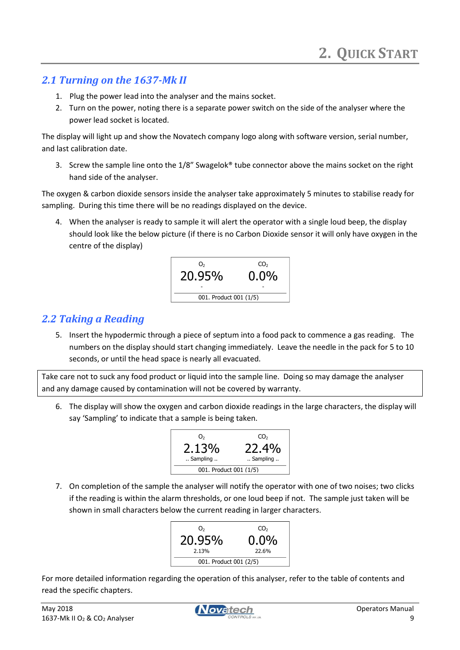# <span id="page-10-1"></span><span id="page-10-0"></span>*2.1 Turning on the 1637-Mk II*

- 1. Plug the power lead into the analyser and the mains socket.
- 2. Turn on the power, noting there is a separate power switch on the side of the analyser where the power lead socket is located.

The display will light up and show the Novatech company logo along with software version, serial number, and last calibration date.

3. Screw the sample line onto the 1/8" Swagelok® tube connector above the mains socket on the right hand side of the analyser.

The oxygen & carbon dioxide sensors inside the analyser take approximately 5 minutes to stabilise ready for sampling. During this time there will be no readings displayed on the device.

4. When the analyser is ready to sample it will alert the operator with a single loud beep, the display should look like the below picture (if there is no Carbon Dioxide sensor it will only have oxygen in the centre of the display)



# <span id="page-10-2"></span>*2.2 Taking a Reading*

5. Insert the hypodermic through a piece of septum into a food pack to commence a gas reading. The numbers on the display should start changing immediately. Leave the needle in the pack for 5 to 10 seconds, or until the head space is nearly all evacuated.

Take care not to suck any food product or liquid into the sample line. Doing so may damage the analyser and any damage caused by contamination will not be covered by warranty.

6. The display will show the oxygen and carbon dioxide readings in the large characters, the display will say 'Sampling' to indicate that a sample is being taken.



7. On completion of the sample the analyser will notify the operator with one of two noises; two clicks if the reading is within the alarm thresholds, or one loud beep if not. The sample just taken will be shown in small characters below the current reading in larger characters.



For more detailed information regarding the operation of this analyser, refer to the table of contents and read the specific chapters.

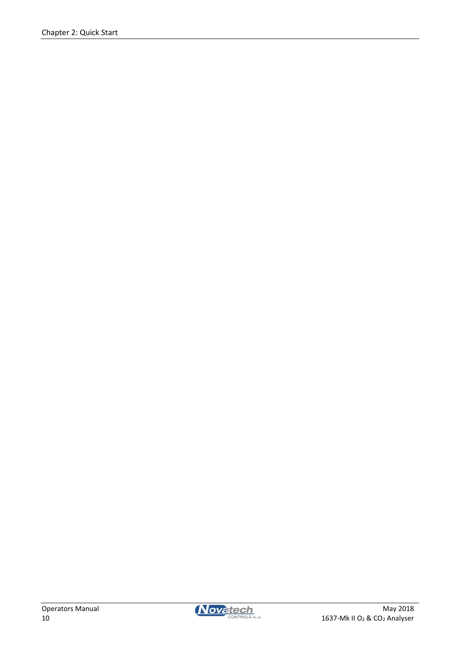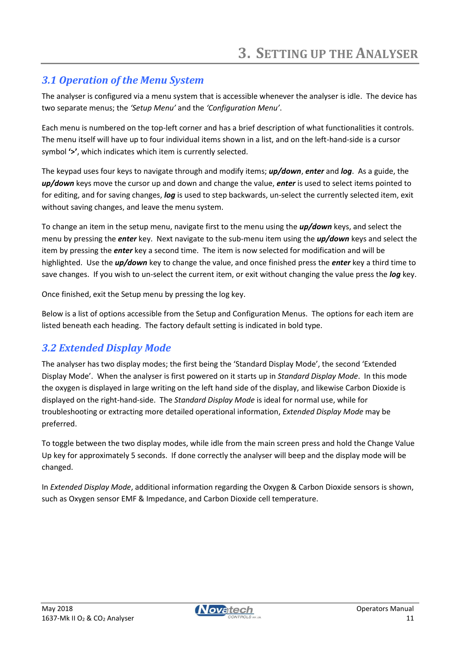# <span id="page-12-1"></span><span id="page-12-0"></span>*3.1 Operation of the Menu System*

The analyser is configured via a menu system that is accessible whenever the analyser is idle. The device has two separate menus; the *'Setup Menu'* and the *'Configuration Menu'*.

Each menu is numbered on the top-left corner and has a brief description of what functionalities it controls. The menu itself will have up to four individual items shown in a list, and on the left-hand-side is a cursor symbol **'>'**, which indicates which item is currently selected.

The keypad uses four keys to navigate through and modify items; *up/down*, *enter* and *log*. As a guide, the *up/down* keys move the cursor up and down and change the value, *enter* is used to select items pointed to for editing, and for saving changes, *log* is used to step backwards, un-select the currently selected item, exit without saving changes, and leave the menu system.

To change an item in the setup menu, navigate first to the menu using the *up/down* keys, and select the menu by pressing the *enter* key. Next navigate to the sub-menu item using the *up/down* keys and select the item by pressing the *enter* key a second time. The item is now selected for modification and will be highlighted. Use the *up/down* key to change the value, and once finished press the *enter* key a third time to save changes. If you wish to un-select the current item, or exit without changing the value press the *log* key.

Once finished, exit the Setup menu by pressing the log key.

Below is a list of options accessible from the Setup and Configuration Menus. The options for each item are listed beneath each heading. The factory default setting is indicated in bold type.

# <span id="page-12-2"></span>*3.2 Extended Display Mode*

The analyser has two display modes; the first being the 'Standard Display Mode', the second 'Extended Display Mode'. When the analyser is first powered on it starts up in *Standard Display Mode*. In this mode the oxygen is displayed in large writing on the left hand side of the display, and likewise Carbon Dioxide is displayed on the right-hand-side. The *Standard Display Mode* is ideal for normal use, while for troubleshooting or extracting more detailed operational information, *Extended Display Mode* may be preferred.

To toggle between the two display modes, while idle from the main screen press and hold the Change Value Up key for approximately 5 seconds. If done correctly the analyser will beep and the display mode will be changed.

In *Extended Display Mode*, additional information regarding the Oxygen & Carbon Dioxide sensors is shown, such as Oxygen sensor EMF & Impedance, and Carbon Dioxide cell temperature.

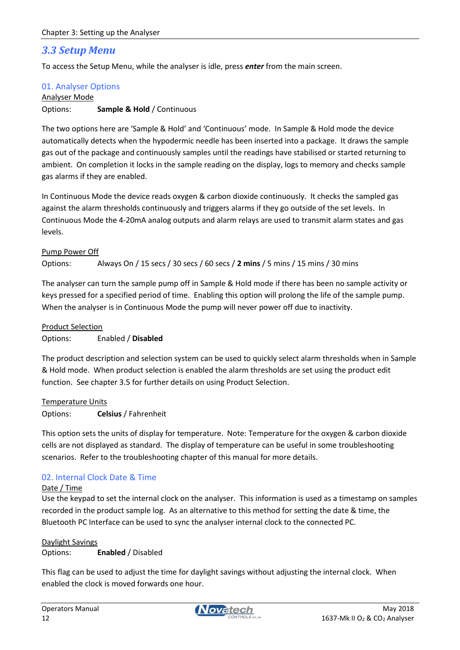### <span id="page-13-0"></span>*3.3 Setup Menu*

To access the Setup Menu, while the analyser is idle, press *enter* from the main screen.

#### 01. Analyser Options

#### Analyser Mode

#### Options: **Sample & Hold** / Continuous

The two options here are 'Sample & Hold' and 'Continuous' mode. In Sample & Hold mode the device automatically detects when the hypodermic needle has been inserted into a package. It draws the sample gas out of the package and continuously samples until the readings have stabilised or started returning to ambient. On completion it locks in the sample reading on the display, logs to memory and checks sample gas alarms if they are enabled.

In Continuous Mode the device reads oxygen & carbon dioxide continuously. It checks the sampled gas against the alarm thresholds continuously and triggers alarms if they go outside of the set levels. In Continuous Mode the 4-20mA analog outputs and alarm relays are used to transmit alarm states and gas levels.

#### Pump Power Off

Options: Always On / 15 secs / 30 secs / 60 secs / **2 mins** / 5 mins / 15 mins / 30 mins

The analyser can turn the sample pump off in Sample & Hold mode if there has been no sample activity or keys pressed for a specified period of time. Enabling this option will prolong the life of the sample pump. When the analyser is in Continuous Mode the pump will never power off due to inactivity.

#### Product Selection

Options: Enabled / **Disabled**

The product description and selection system can be used to quickly select alarm thresholds when in Sample & Hold mode. When product selection is enabled the alarm thresholds are set using the product edit function. See chapter 3.5 for further details on using Product Selection.

#### Temperature Units

Options: **Celsius** / Fahrenheit

This option sets the units of display for temperature. Note: Temperature for the oxygen & carbon dioxide cells are not displayed as standard. The display of temperature can be useful in some troubleshooting scenarios. Refer to the troubleshooting chapter of this manual for more details.

#### 02. Internal Clock Date & Time

#### Date / Time

Use the keypad to set the internal clock on the analyser. This information is used as a timestamp on samples recorded in the product sample log. As an alternative to this method for setting the date & time, the Bluetooth PC Interface can be used to sync the analyser internal clock to the connected PC.

#### Daylight Savings

#### Options: **Enabled** / Disabled

This flag can be used to adjust the time for daylight savings without adjusting the internal clock. When enabled the clock is moved forwards one hour.

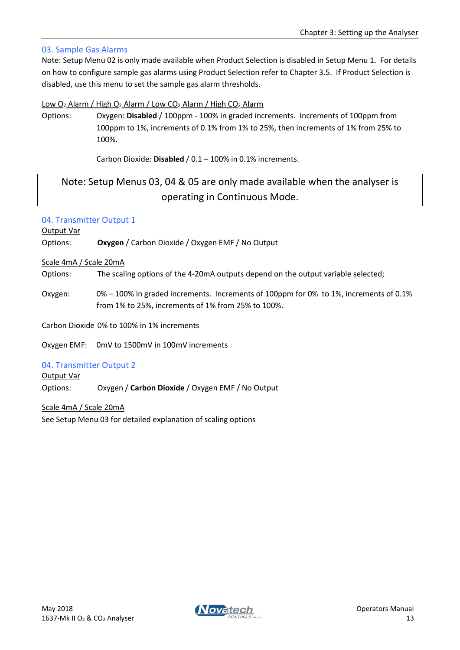#### 03. Sample Gas Alarms

Note: Setup Menu 02 is only made available when Product Selection is disabled in Setup Menu 1. For details on how to configure sample gas alarms using Product Selection refer to Chapter 3.5. If Product Selection is disabled, use this menu to set the sample gas alarm thresholds.

#### Low O<sub>2</sub> Alarm / High O<sub>2</sub> Alarm / Low CO<sub>2</sub> Alarm / High CO<sub>2</sub> Alarm

Options: Oxygen: **Disabled** / 100ppm - 100% in graded increments. Increments of 100ppm from 100ppm to 1%, increments of 0.1% from 1% to 25%, then increments of 1% from 25% to 100%.

Carbon Dioxide: **Disabled** / 0.1 – 100% in 0.1% increments.

# Note: Setup Menus 03, 04 & 05 are only made available when the analyser is operating in Continuous Mode.

#### 04. Transmitter Output 1

Output Var

Options: **Oxygen** / Carbon Dioxide / Oxygen EMF / No Output

Scale 4mA / Scale 20mA

Options: The scaling options of the 4-20mA outputs depend on the output variable selected;

Oxygen: 0% – 100% in graded increments. Increments of 100ppm for 0% to 1%, increments of 0.1% from 1% to 25%, increments of 1% from 25% to 100%.

Carbon Dioxide 0% to 100% in 1% increments

Oxygen EMF: 0mV to 1500mV in 100mV increments

#### 04. Transmitter Output 2

Output Var

Options: Oxygen / **Carbon Dioxide** / Oxygen EMF / No Output

Scale 4mA / Scale 20mA

See Setup Menu 03 for detailed explanation of scaling options

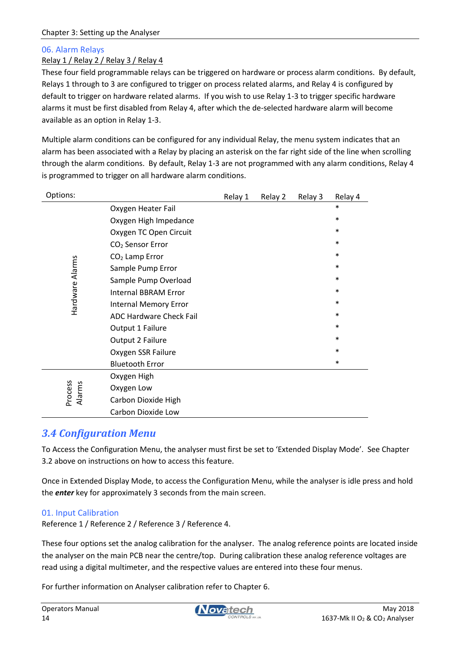#### 06. Alarm Relays

#### Relay 1 / Relay 2 / Relay 3 / Relay 4

These four field programmable relays can be triggered on hardware or process alarm conditions. By default, Relays 1 through to 3 are configured to trigger on process related alarms, and Relay 4 is configured by default to trigger on hardware related alarms. If you wish to use Relay 1-3 to trigger specific hardware alarms it must be first disabled from Relay 4, after which the de-selected hardware alarm will become available as an option in Relay 1-3.

Multiple alarm conditions can be configured for any individual Relay, the menu system indicates that an alarm has been associated with a Relay by placing an asterisk on the far right side of the line when scrolling through the alarm conditions. By default, Relay 1-3 are not programmed with any alarm conditions, Relay 4 is programmed to trigger on all hardware alarm conditions.

| Options:                                                               |                                | Relay 1 | Relay 2 | Relay 3 | Relay 4 |
|------------------------------------------------------------------------|--------------------------------|---------|---------|---------|---------|
|                                                                        | Oxygen Heater Fail             |         |         |         | $\ast$  |
|                                                                        | Oxygen High Impedance          |         |         |         | $\ast$  |
|                                                                        | Oxygen TC Open Circuit         |         |         |         | $\ast$  |
|                                                                        | CO <sub>2</sub> Sensor Error   |         |         |         | $\ast$  |
| CO <sub>2</sub> Lamp Error                                             |                                |         |         |         | $\ast$  |
|                                                                        | Sample Pump Error              |         |         |         | $\ast$  |
| Hardware Alarms<br>Sample Pump Overload<br><b>Internal BBRAM Error</b> |                                |         |         |         | $\ast$  |
|                                                                        |                                |         |         |         | $\ast$  |
|                                                                        | <b>Internal Memory Error</b>   |         |         |         | $\ast$  |
|                                                                        | <b>ADC Hardware Check Fail</b> |         |         |         | $\ast$  |
|                                                                        | Output 1 Failure               |         |         |         | $\ast$  |
|                                                                        | Output 2 Failure               |         |         |         | $\ast$  |
|                                                                        | Oxygen SSR Failure             |         |         |         | $\ast$  |
|                                                                        | <b>Bluetooth Error</b>         |         |         |         | $\ast$  |
|                                                                        | Oxygen High                    |         |         |         |         |
| Process                                                                | Oxygen Low                     |         |         |         |         |
| Alarms                                                                 | Carbon Dioxide High            |         |         |         |         |
|                                                                        | Carbon Dioxide Low             |         |         |         |         |

### <span id="page-15-0"></span>*3.4 Configuration Menu*

To Access the Configuration Menu, the analyser must first be set to 'Extended Display Mode'. See Chapter 3.2 above on instructions on how to access this feature.

Once in Extended Display Mode, to access the Configuration Menu, while the analyser is idle press and hold the *enter* key for approximately 3 seconds from the main screen.

#### 01. Input Calibration

Reference 1 / Reference 2 / Reference 3 / Reference 4.

These four options set the analog calibration for the analyser. The analog reference points are located inside the analyser on the main PCB near the centre/top. During calibration these analog reference voltages are read using a digital multimeter, and the respective values are entered into these four menus.

For further information on Analyser calibration refer to Chapter 6.

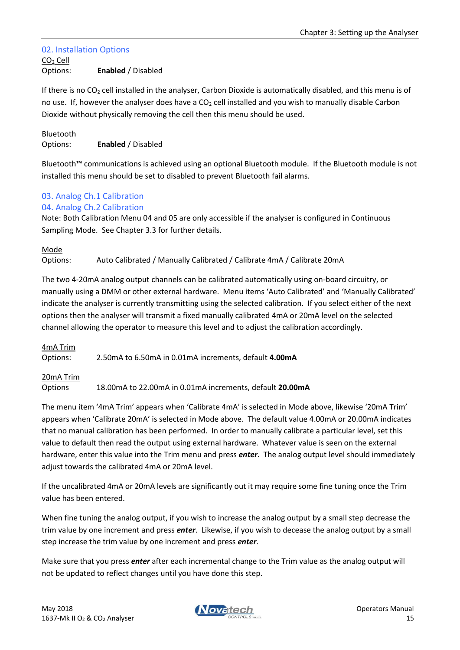#### 02. Installation Options CO<sup>2</sup> Cell Options: **Enabled** / Disabled

If there is no CO<sup>2</sup> cell installed in the analyser, Carbon Dioxide is automatically disabled, and this menu is of no use. If, however the analyser does have a  $CO<sub>2</sub>$  cell installed and you wish to manually disable Carbon Dioxide without physically removing the cell then this menu should be used.

### Bluetooth Options: **Enabled** / Disabled

Bluetooth™ communications is achieved using an optional Bluetooth module. If the Bluetooth module is not installed this menu should be set to disabled to prevent Bluetooth fail alarms.

#### 03. Analog Ch.1 Calibration 04. Analog Ch.2 Calibration

Note: Both Calibration Menu 04 and 05 are only accessible if the analyser is configured in Continuous Sampling Mode. See Chapter 3.3 for further details.

Mode

Options: Auto Calibrated / Manually Calibrated / Calibrate 4mA / Calibrate 20mA

The two 4-20mA analog output channels can be calibrated automatically using on-board circuitry, or manually using a DMM or other external hardware. Menu items 'Auto Calibrated' and 'Manually Calibrated' indicate the analyser is currently transmitting using the selected calibration. If you select either of the next options then the analyser will transmit a fixed manually calibrated 4mA or 20mA level on the selected channel allowing the operator to measure this level and to adjust the calibration accordingly.

4mA Trim Options: 2.50mA to 6.50mA in 0.01mA increments, default **4.00mA**

### 20mA Trim Options 18.00mA to 22.00mA in 0.01mA increments, default **20.00mA**

The menu item '4mA Trim' appears when 'Calibrate 4mA' is selected in Mode above, likewise '20mA Trim' appears when 'Calibrate 20mA' is selected in Mode above. The default value 4.00mA or 20.00mA indicates that no manual calibration has been performed. In order to manually calibrate a particular level, set this value to default then read the output using external hardware. Whatever value is seen on the external hardware, enter this value into the Trim menu and press *enter*. The analog output level should immediately adjust towards the calibrated 4mA or 20mA level.

If the uncalibrated 4mA or 20mA levels are significantly out it may require some fine tuning once the Trim value has been entered.

When fine tuning the analog output, if you wish to increase the analog output by a small step decrease the trim value by one increment and press *enter*. Likewise, if you wish to decease the analog output by a small step increase the trim value by one increment and press *enter*.

Make sure that you press *enter* after each incremental change to the Trim value as the analog output will not be updated to reflect changes until you have done this step.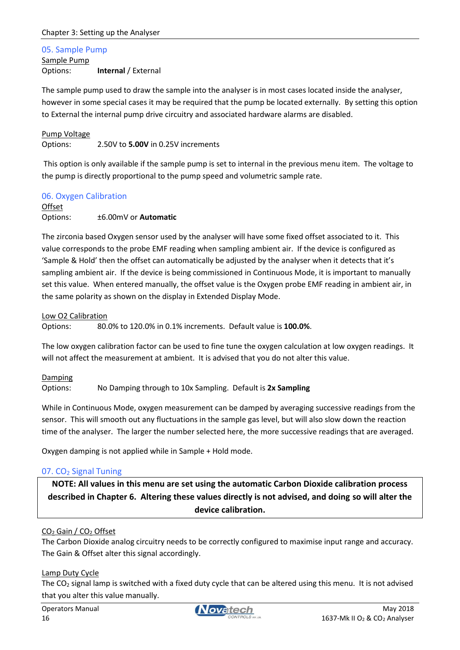#### 05. Sample Pump

Sample Pump Options: **Internal** / External

The sample pump used to draw the sample into the analyser is in most cases located inside the analyser, however in some special cases it may be required that the pump be located externally. By setting this option to External the internal pump drive circuitry and associated hardware alarms are disabled.

Pump Voltage Options: 2.50V to **5.00V** in 0.25V increments

This option is only available if the sample pump is set to internal in the previous menu item. The voltage to the pump is directly proportional to the pump speed and volumetric sample rate.

#### 06. Oxygen Calibration

Offset Options: ±6.00mV or **Automatic**

The zirconia based Oxygen sensor used by the analyser will have some fixed offset associated to it. This value corresponds to the probe EMF reading when sampling ambient air. If the device is configured as 'Sample & Hold' then the offset can automatically be adjusted by the analyser when it detects that it's sampling ambient air. If the device is being commissioned in Continuous Mode, it is important to manually set this value. When entered manually, the offset value is the Oxygen probe EMF reading in ambient air, in the same polarity as shown on the display in Extended Display Mode.

Low O2 Calibration

Options: 80.0% to 120.0% in 0.1% increments. Default value is **100.0%**.

The low oxygen calibration factor can be used to fine tune the oxygen calculation at low oxygen readings. It will not affect the measurement at ambient. It is advised that you do not alter this value.

#### Damping

Options: No Damping through to 10x Sampling. Default is **2x Sampling**

While in Continuous Mode, oxygen measurement can be damped by averaging successive readings from the sensor. This will smooth out any fluctuations in the sample gas level, but will also slow down the reaction time of the analyser. The larger the number selected here, the more successive readings that are averaged.

Oxygen damping is not applied while in Sample + Hold mode.

#### 07. CO<sup>2</sup> Signal Tuning

**NOTE: All values in this menu are set using the automatic Carbon Dioxide calibration process described in Chapter 6. Altering these values directly is not advised, and doing so will alter the device calibration.**

#### CO<sub>2</sub> Gain / CO<sub>2</sub> Offset

The Carbon Dioxide analog circuitry needs to be correctly configured to maximise input range and accuracy. The Gain & Offset alter this signal accordingly.

#### Lamp Duty Cycle

The  $CO<sub>2</sub>$  signal lamp is switched with a fixed duty cycle that can be altered using this menu. It is not advised that you alter this value manually.

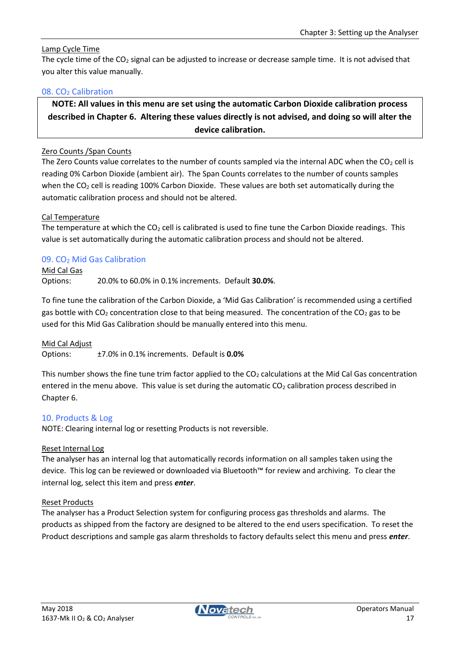#### Lamp Cycle Time

The cycle time of the  $CO<sub>2</sub>$  signal can be adjusted to increase or decrease sample time. It is not advised that you alter this value manually.

#### 08. CO<sup>2</sup> Calibration

**NOTE: All values in this menu are set using the automatic Carbon Dioxide calibration process described in Chapter 6. Altering these values directly is not advised, and doing so will alter the device calibration.**

#### Zero Counts /Span Counts

The Zero Counts value correlates to the number of counts sampled via the internal ADC when the  $CO<sub>2</sub>$  cell is reading 0% Carbon Dioxide (ambient air). The Span Counts correlates to the number of counts samples when the CO<sub>2</sub> cell is reading 100% Carbon Dioxide. These values are both set automatically during the automatic calibration process and should not be altered.

#### Cal Temperature

The temperature at which the  $CO<sub>2</sub>$  cell is calibrated is used to fine tune the Carbon Dioxide readings. This value is set automatically during the automatic calibration process and should not be altered.

#### 09. CO<sub>2</sub> Mid Gas Calibration

Mid Cal Gas Options: 20.0% to 60.0% in 0.1% increments. Default **30.0%**.

To fine tune the calibration of the Carbon Dioxide, a 'Mid Gas Calibration' is recommended using a certified gas bottle with  $CO<sub>2</sub>$  concentration close to that being measured. The concentration of the  $CO<sub>2</sub>$  gas to be used for this Mid Gas Calibration should be manually entered into this menu.

#### Mid Cal Adjust

Options: ±7.0% in 0.1% increments. Default is **0.0%**

This number shows the fine tune trim factor applied to the  $CO<sub>2</sub>$  calculations at the Mid Cal Gas concentration entered in the menu above. This value is set during the automatic  $CO<sub>2</sub>$  calibration process described in Chapter 6.

#### 10. Products & Log

NOTE: Clearing internal log or resetting Products is not reversible.

#### Reset Internal Log

The analyser has an internal log that automatically records information on all samples taken using the device. This log can be reviewed or downloaded via Bluetooth™ for review and archiving. To clear the internal log, select this item and press *enter*.

#### Reset Products

The analyser has a Product Selection system for configuring process gas thresholds and alarms. The products as shipped from the factory are designed to be altered to the end users specification. To reset the Product descriptions and sample gas alarm thresholds to factory defaults select this menu and press *enter*.

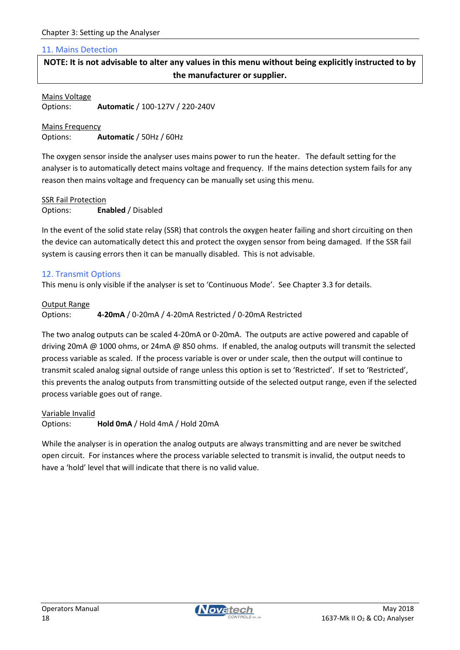#### 11. Mains Detection

**NOTE: It is not advisable to alter any values in this menu without being explicitly instructed to by the manufacturer or supplier.**

#### Mains Voltage

Options: **Automatic** / 100-127V / 220-240V

Mains Frequency

Options: **Automatic** / 50Hz / 60Hz

The oxygen sensor inside the analyser uses mains power to run the heater. The default setting for the analyser is to automatically detect mains voltage and frequency. If the mains detection system fails for any reason then mains voltage and frequency can be manually set using this menu.

SSR Fail Protection Options: **Enabled** / Disabled

In the event of the solid state relay (SSR) that controls the oxygen heater failing and short circuiting on then the device can automatically detect this and protect the oxygen sensor from being damaged. If the SSR fail system is causing errors then it can be manually disabled. This is not advisable.

#### 12. Transmit Options

This menu is only visible if the analyser is set to 'Continuous Mode'. See Chapter 3.3 for details.

#### Output Range

Options: **4-20mA** / 0-20mA / 4-20mA Restricted / 0-20mA Restricted

The two analog outputs can be scaled 4-20mA or 0-20mA. The outputs are active powered and capable of driving 20mA @ 1000 ohms, or 24mA @ 850 ohms. If enabled, the analog outputs will transmit the selected process variable as scaled. If the process variable is over or under scale, then the output will continue to transmit scaled analog signal outside of range unless this option is set to 'Restricted'. If set to 'Restricted', this prevents the analog outputs from transmitting outside of the selected output range, even if the selected process variable goes out of range.

Variable Invalid Options: **Hold 0mA** / Hold 4mA / Hold 20mA

While the analyser is in operation the analog outputs are always transmitting and are never be switched open circuit. For instances where the process variable selected to transmit is invalid, the output needs to have a 'hold' level that will indicate that there is no valid value.

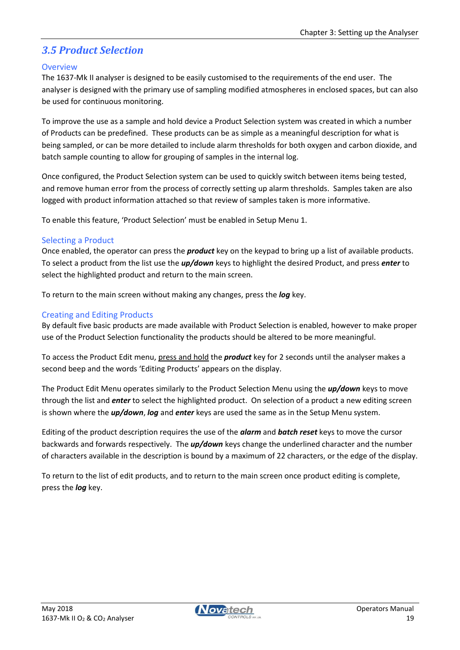# <span id="page-20-0"></span>*3.5 Product Selection*

#### Overview

The 1637-Mk II analyser is designed to be easily customised to the requirements of the end user. The analyser is designed with the primary use of sampling modified atmospheres in enclosed spaces, but can also be used for continuous monitoring.

To improve the use as a sample and hold device a Product Selection system was created in which a number of Products can be predefined. These products can be as simple as a meaningful description for what is being sampled, or can be more detailed to include alarm thresholds for both oxygen and carbon dioxide, and batch sample counting to allow for grouping of samples in the internal log.

Once configured, the Product Selection system can be used to quickly switch between items being tested, and remove human error from the process of correctly setting up alarm thresholds. Samples taken are also logged with product information attached so that review of samples taken is more informative.

To enable this feature, 'Product Selection' must be enabled in Setup Menu 1.

#### Selecting a Product

Once enabled, the operator can press the *product* key on the keypad to bring up a list of available products. To select a product from the list use the *up/down* keys to highlight the desired Product, and press *enter* to select the highlighted product and return to the main screen.

To return to the main screen without making any changes, press the *log* key.

#### Creating and Editing Products

By default five basic products are made available with Product Selection is enabled, however to make proper use of the Product Selection functionality the products should be altered to be more meaningful.

To access the Product Edit menu, press and hold the *product* key for 2 seconds until the analyser makes a second beep and the words 'Editing Products' appears on the display.

The Product Edit Menu operates similarly to the Product Selection Menu using the *up/down* keys to move through the list and *enter* to select the highlighted product. On selection of a product a new editing screen is shown where the *up/down*, *log* and *enter* keys are used the same as in the Setup Menu system.

Editing of the product description requires the use of the *alarm* and *batch reset* keys to move the cursor backwards and forwards respectively. The *up/down* keys change the underlined character and the number of characters available in the description is bound by a maximum of 22 characters, or the edge of the display.

To return to the list of edit products, and to return to the main screen once product editing is complete, press the *log* key.

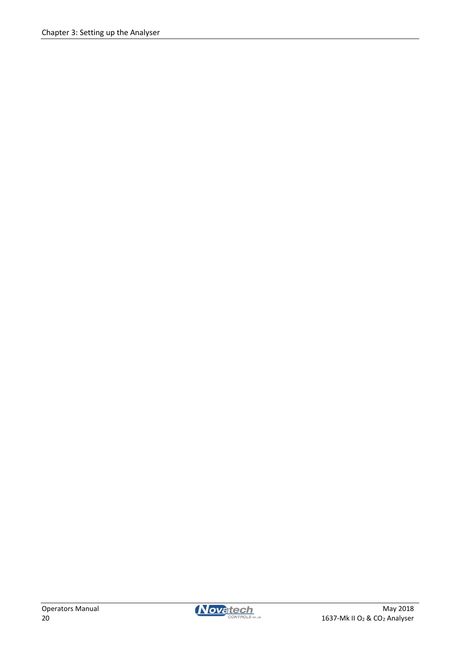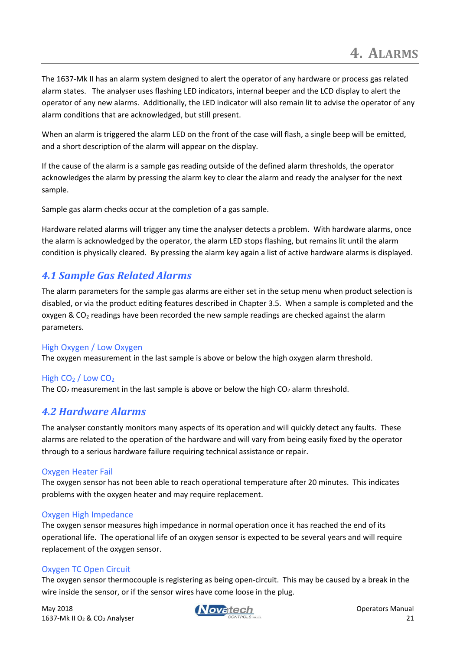<span id="page-22-0"></span>The 1637-Mk II has an alarm system designed to alert the operator of any hardware or process gas related alarm states. The analyser uses flashing LED indicators, internal beeper and the LCD display to alert the operator of any new alarms. Additionally, the LED indicator will also remain lit to advise the operator of any alarm conditions that are acknowledged, but still present.

When an alarm is triggered the alarm LED on the front of the case will flash, a single beep will be emitted, and a short description of the alarm will appear on the display.

If the cause of the alarm is a sample gas reading outside of the defined alarm thresholds, the operator acknowledges the alarm by pressing the alarm key to clear the alarm and ready the analyser for the next sample.

Sample gas alarm checks occur at the completion of a gas sample.

Hardware related alarms will trigger any time the analyser detects a problem. With hardware alarms, once the alarm is acknowledged by the operator, the alarm LED stops flashing, but remains lit until the alarm condition is physically cleared. By pressing the alarm key again a list of active hardware alarms is displayed.

# <span id="page-22-1"></span>*4.1 Sample Gas Related Alarms*

The alarm parameters for the sample gas alarms are either set in the setup menu when product selection is disabled, or via the product editing features described in Chapter 3.5. When a sample is completed and the oxygen & CO<sub>2</sub> readings have been recorded the new sample readings are checked against the alarm parameters.

#### High Oxygen / Low Oxygen

The oxygen measurement in the last sample is above or below the high oxygen alarm threshold.

#### High  $CO<sub>2</sub>$  / Low  $CO<sub>2</sub>$

The  $CO<sub>2</sub>$  measurement in the last sample is above or below the high  $CO<sub>2</sub>$  alarm threshold.

# <span id="page-22-2"></span>*4.2 Hardware Alarms*

The analyser constantly monitors many aspects of its operation and will quickly detect any faults. These alarms are related to the operation of the hardware and will vary from being easily fixed by the operator through to a serious hardware failure requiring technical assistance or repair.

#### Oxygen Heater Fail

The oxygen sensor has not been able to reach operational temperature after 20 minutes. This indicates problems with the oxygen heater and may require replacement.

#### Oxygen High Impedance

The oxygen sensor measures high impedance in normal operation once it has reached the end of its operational life. The operational life of an oxygen sensor is expected to be several years and will require replacement of the oxygen sensor.

#### Oxygen TC Open Circuit

The oxygen sensor thermocouple is registering as being open-circuit. This may be caused by a break in the wire inside the sensor, or if the sensor wires have come loose in the plug.

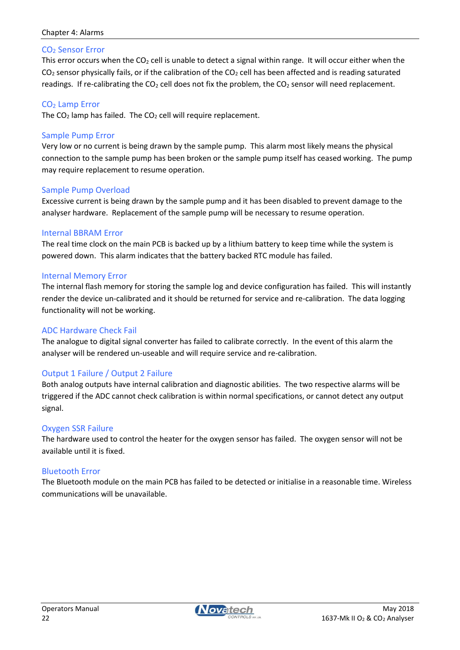#### Chapter 4: Alarms

#### CO<sub>2</sub> Sensor Error

This error occurs when the  $CO<sub>2</sub>$  cell is unable to detect a signal within range. It will occur either when the  $CO<sub>2</sub>$  sensor physically fails, or if the calibration of the  $CO<sub>2</sub>$  cell has been affected and is reading saturated readings. If re-calibrating the  $CO<sub>2</sub>$  cell does not fix the problem, the  $CO<sub>2</sub>$  sensor will need replacement.

#### CO<sup>2</sup> Lamp Error

The  $CO<sub>2</sub>$  lamp has failed. The  $CO<sub>2</sub>$  cell will require replacement.

#### Sample Pump Error

Very low or no current is being drawn by the sample pump. This alarm most likely means the physical connection to the sample pump has been broken or the sample pump itself has ceased working. The pump may require replacement to resume operation.

#### Sample Pump Overload

Excessive current is being drawn by the sample pump and it has been disabled to prevent damage to the analyser hardware. Replacement of the sample pump will be necessary to resume operation.

#### Internal BBRAM Error

The real time clock on the main PCB is backed up by a lithium battery to keep time while the system is powered down. This alarm indicates that the battery backed RTC module has failed.

#### Internal Memory Error

The internal flash memory for storing the sample log and device configuration has failed. This will instantly render the device un-calibrated and it should be returned for service and re-calibration. The data logging functionality will not be working.

#### ADC Hardware Check Fail

The analogue to digital signal converter has failed to calibrate correctly. In the event of this alarm the analyser will be rendered un-useable and will require service and re-calibration.

#### Output 1 Failure / Output 2 Failure

Both analog outputs have internal calibration and diagnostic abilities. The two respective alarms will be triggered if the ADC cannot check calibration is within normal specifications, or cannot detect any output signal.

#### Oxygen SSR Failure

The hardware used to control the heater for the oxygen sensor has failed. The oxygen sensor will not be available until it is fixed.

#### Bluetooth Error

The Bluetooth module on the main PCB has failed to be detected or initialise in a reasonable time. Wireless communications will be unavailable.

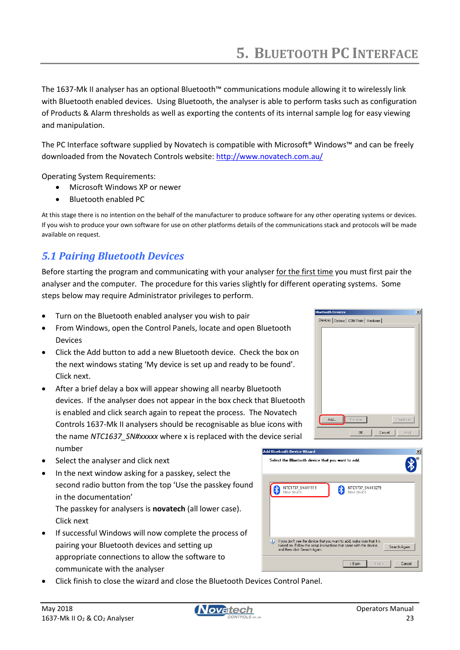<span id="page-24-0"></span>The 1637-Mk II analyser has an optional Bluetooth™ communications module allowing it to wirelessly link with Bluetooth enabled devices. Using Bluetooth, the analyser is able to perform tasks such as configuration of Products & Alarm thresholds as well as exporting the contents of its internal sample log for easy viewing and manipulation.

The PC Interface software supplied by Novatech is compatible with Microsoft® Windows™ and can be freely downloaded from the Novatech Controls website[: http://www.novatech.com.au/](http://www.novatech.com.au/)

Operating System Requirements:

- Microsoft Windows XP or newer
- Bluetooth enabled PC

At this stage there is no intention on the behalf of the manufacturer to produce software for any other operating systems or devices. If you wish to produce your own software for use on other platforms details of the communications stack and protocols will be made available on request.

# <span id="page-24-1"></span>*5.1 Pairing Bluetooth Devices*

Before starting the program and communicating with your analyser for the first time you must first pair the analyser and the computer. The procedure for this varies slightly for different operating systems. Some steps below may require Administrator privileges to perform.

- Turn on the Bluetooth enabled analyser you wish to pair
- From Windows, open the Control Panels, locate and open Bluetooth Devices
- Click the Add button to add a new Bluetooth device. Check the box on the next windows stating 'My device is set up and ready to be found'. Click next.
- After a brief delay a box will appear showing all nearby Bluetooth devices. If the analyser does not appear in the box check that Bluetooth is enabled and click search again to repeat the process. The Novatech Controls 1637-Mk II analysers should be recognisable as blue icons with the name *NTC1637\_SN#xxxxx* where x is replaced with the device serial number
- Devices | Options | COM Ports | Hardware |  $\overline{A}$ dd Properties nk Cancel

**Ruetooth Devices** 

- Select the analyser and click next
- In the next window asking for a passkey, select the second radio button from the top 'Use the passkey found in the documentation' The passkey for analysers is **novatech** (all lower case).

Click next

- If successful Windows will now complete the process of pairing your Bluetooth devices and setting up appropriate connections to allow the software to communicate with the analyser
- Click finish to close the wizard and close the Bluetooth Devices Control Panel.



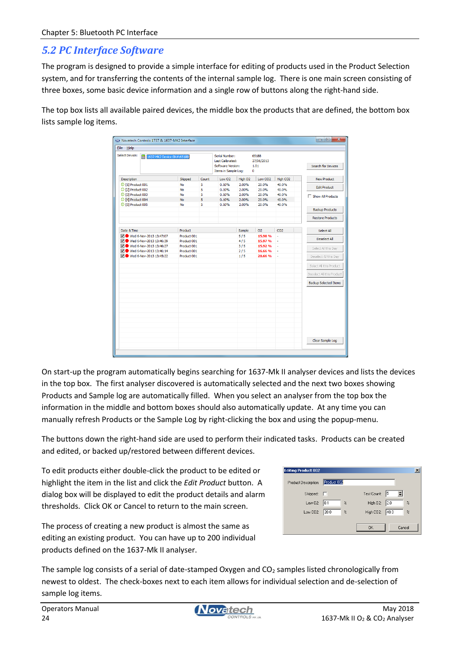# <span id="page-25-0"></span>*5.2 PC Interface Software*

The program is designed to provide a simple interface for editing of products used in the Product Selection system, and for transferring the contents of the internal sample log. There is one main screen consisting of three boxes, some basic device information and a single row of buttons along the right-hand side.

The top box lists all available paired devices, the middle box the products that are defined, the bottom box lists sample log items.

| File Help                                              |                            |       |                                                                                 |                     |                             |                      |                              |  |
|--------------------------------------------------------|----------------------------|-------|---------------------------------------------------------------------------------|---------------------|-----------------------------|----------------------|------------------------------|--|
| Select Device:<br>1637-MK2 Device SN#:65188            |                            |       | Serial Number:<br>Last Calibrated:<br>Software Version:<br>Items in Sample Log: | $\mathbf{0}$        | 65188<br>27/06/2013<br>1.01 |                      | <b>Search for Devices</b>    |  |
| <b>Description</b>                                     | Skipped                    | Count | Low O2                                                                          | High O <sub>2</sub> | Low CO <sub>2</sub>         | High CO <sub>2</sub> | New Product                  |  |
| 1] Product 001                                         | <b>No</b>                  | 5     | 0.10%                                                                           | 2.00%               | 20.0%                       | 40.0%                | <b>Edit Product</b>          |  |
| C [2] Product 002                                      | <b>No</b>                  | 5     | 0.10%                                                                           | 2.00%               | 20.0%                       | 40.0%                |                              |  |
| S [3] Product 003                                      | <b>No</b>                  | 5     | 0.10%                                                                           | 2.00%               | 20.0%                       | 40.0%                | Show All Products            |  |
| C [4] Product 004                                      | <b>No</b>                  | 5     | 0.10%                                                                           | 2.00%               | 20.0%                       | 40.0%                |                              |  |
| S [5] Product 005                                      | <b>No</b>                  | 5     | 0.10%                                                                           | 2.00%               | 20.0%                       | 40.0%                |                              |  |
|                                                        |                            |       |                                                                                 |                     |                             |                      | <b>Backup Products</b>       |  |
|                                                        |                            |       |                                                                                 |                     |                             |                      | <b>Restore Products</b>      |  |
|                                                        |                            |       |                                                                                 |                     |                             |                      |                              |  |
| Date & Time                                            | Product                    |       |                                                                                 | Sample              | O <sub>2</sub>              | CO <sub>2</sub>      | Select All                   |  |
| M ● Wed 6-Nov-2013 13:47:07                            | Product 001                |       |                                                                                 | 5/5                 | 15.98%                      | ä,                   | Deselect All                 |  |
| M ● Wed 6-Nov-2013 13:46:39                            | Product 001                |       |                                                                                 | 4/5                 | 15.97 %                     | ä,                   |                              |  |
| M Wed 6-Nov-2013 13:46:27<br>M Wed 6-Nov-2013 13:46:14 | Product 001<br>Product 001 |       |                                                                                 | 3/5                 | 15.92 %<br>16.66 %          | ×.<br>ä,             | Select All this Day          |  |
| M Wed 6-Nov-2013 13:45:22                              | Product 001                |       |                                                                                 | 2/5<br>1/5          | 20.66%                      | ÷                    |                              |  |
|                                                        |                            |       |                                                                                 |                     |                             |                      | Deselect All this Day        |  |
|                                                        |                            |       |                                                                                 |                     |                             |                      | Select All this Product      |  |
|                                                        |                            |       |                                                                                 |                     |                             |                      | Deselect All this Product    |  |
|                                                        |                            |       |                                                                                 |                     |                             |                      | <b>Backup Selected Items</b> |  |
|                                                        |                            |       |                                                                                 |                     |                             |                      | Clear Sample Log             |  |

On start-up the program automatically begins searching for 1637-Mk II analyser devices and lists the devices in the top box. The first analyser discovered is automatically selected and the next two boxes showing Products and Sample log are automatically filled. When you select an analyser from the top box the information in the middle and bottom boxes should also automatically update. At any time you can manually refresh Products or the Sample Log by right-clicking the box and using the popup-menu.

The buttons down the right-hand side are used to perform their indicated tasks. Products can be created and edited, or backed up/restored between different devices.

To edit products either double-click the product to be edited or highlight the item in the list and click the *Edit Product* button. A dialog box will be displayed to edit the product details and alarm thresholds. Click OK or Cancel to return to the main screen.

The process of creating a new product is almost the same as editing an existing product. You can have up to 200 individual products defined on the 1637-Mk II analyser.

| <b>Editing Product 002</b><br>Product Description: | Product 002 |                   |      |      | × |
|----------------------------------------------------|-------------|-------------------|------|------|---|
| Skipped: $\Box$                                    |             | Test Count:       | 15   | ÷l   |   |
| Low 02:                                            | 10.1        | High 02:<br>$\%$  | 2.0  | $\%$ |   |
| Low CO2:                                           | 120.0       | High CO2:<br>$\%$ | 40.0 | $\%$ |   |

The sample log consists of a serial of date-stamped Oxygen and CO<sub>2</sub> samples listed chronologically from newest to oldest. The check-boxes next to each item allows for individual selection and de-selection of sample log items.

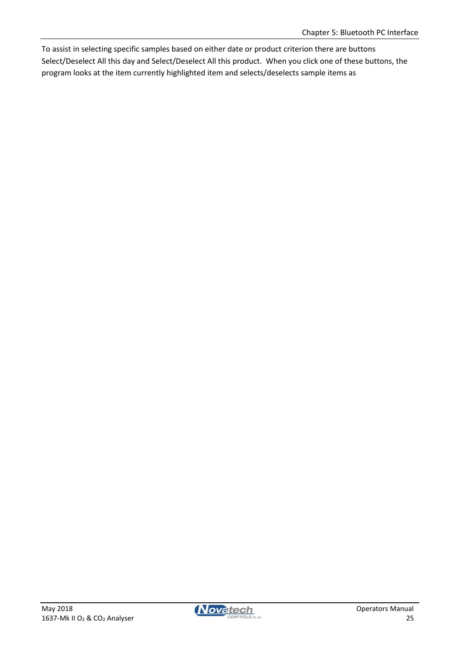To assist in selecting specific samples based on either date or product criterion there are buttons Select/Deselect All this day and Select/Deselect All this product. When you click one of these buttons, the program looks at the item currently highlighted item and selects/deselects sample items as

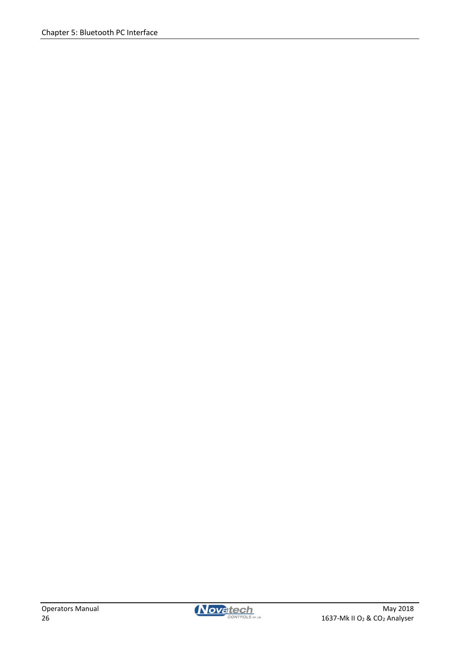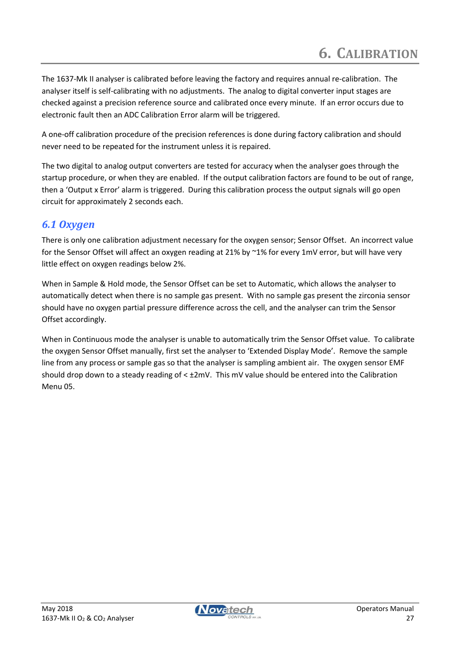<span id="page-28-0"></span>The 1637-Mk II analyser is calibrated before leaving the factory and requires annual re-calibration. The analyser itself is self-calibrating with no adjustments. The analog to digital converter input stages are checked against a precision reference source and calibrated once every minute. If an error occurs due to electronic fault then an ADC Calibration Error alarm will be triggered.

A one-off calibration procedure of the precision references is done during factory calibration and should never need to be repeated for the instrument unless it is repaired.

The two digital to analog output converters are tested for accuracy when the analyser goes through the startup procedure, or when they are enabled. If the output calibration factors are found to be out of range, then a 'Output x Error' alarm is triggered. During this calibration process the output signals will go open circuit for approximately 2 seconds each.

# <span id="page-28-1"></span>*6.1 Oxygen*

There is only one calibration adjustment necessary for the oxygen sensor; Sensor Offset. An incorrect value for the Sensor Offset will affect an oxygen reading at 21% by ~1% for every 1mV error, but will have very little effect on oxygen readings below 2%.

When in Sample & Hold mode, the Sensor Offset can be set to Automatic, which allows the analyser to automatically detect when there is no sample gas present. With no sample gas present the zirconia sensor should have no oxygen partial pressure difference across the cell, and the analyser can trim the Sensor Offset accordingly.

When in Continuous mode the analyser is unable to automatically trim the Sensor Offset value. To calibrate the oxygen Sensor Offset manually, first set the analyser to 'Extended Display Mode'. Remove the sample line from any process or sample gas so that the analyser is sampling ambient air. The oxygen sensor EMF should drop down to a steady reading of <  $\pm 2$ mV. This mV value should be entered into the Calibration Menu 05.

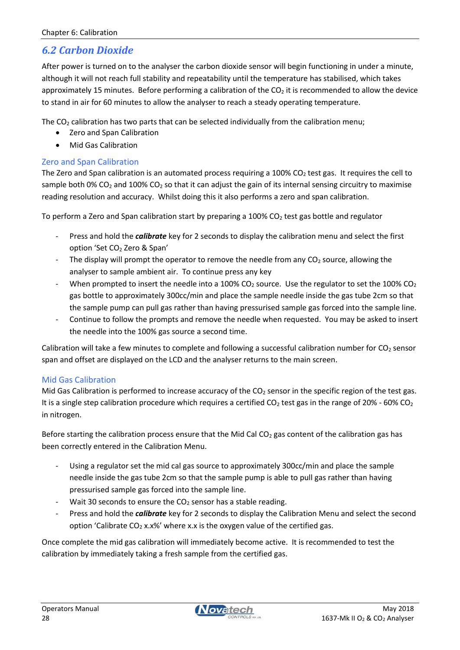## <span id="page-29-0"></span>*6.2 Carbon Dioxide*

After power is turned on to the analyser the carbon dioxide sensor will begin functioning in under a minute, although it will not reach full stability and repeatability until the temperature has stabilised, which takes approximately 15 minutes. Before performing a calibration of the  $CO<sub>2</sub>$  it is recommended to allow the device to stand in air for 60 minutes to allow the analyser to reach a steady operating temperature.

The  $CO<sub>2</sub>$  calibration has two parts that can be selected individually from the calibration menu;

- Zero and Span Calibration
- Mid Gas Calibration

#### Zero and Span Calibration

The Zero and Span calibration is an automated process requiring a 100% CO<sub>2</sub> test gas. It requires the cell to sample both 0% CO<sub>2</sub> and 100% CO<sub>2</sub> so that it can adjust the gain of its internal sensing circuitry to maximise reading resolution and accuracy. Whilst doing this it also performs a zero and span calibration.

To perform a Zero and Span calibration start by preparing a  $100\%$  CO<sub>2</sub> test gas bottle and regulator

- Press and hold the *calibrate* key for 2 seconds to display the calibration menu and select the first option 'Set CO<sub>2</sub> Zero & Span'
- The display will prompt the operator to remove the needle from any  $CO<sub>2</sub>$  source, allowing the analyser to sample ambient air. To continue press any key
- When prompted to insert the needle into a 100% CO<sub>2</sub> source. Use the regulator to set the 100% CO<sub>2</sub> gas bottle to approximately 300cc/min and place the sample needle inside the gas tube 2cm so that the sample pump can pull gas rather than having pressurised sample gas forced into the sample line.
- Continue to follow the prompts and remove the needle when requested. You may be asked to insert the needle into the 100% gas source a second time.

Calibration will take a few minutes to complete and following a successful calibration number for  $CO<sub>2</sub>$  sensor span and offset are displayed on the LCD and the analyser returns to the main screen.

#### Mid Gas Calibration

Mid Gas Calibration is performed to increase accuracy of the  $CO<sub>2</sub>$  sensor in the specific region of the test gas. It is a single step calibration procedure which requires a certified  $CO<sub>2</sub>$  test gas in the range of 20% - 60%  $CO<sub>2</sub>$ in nitrogen.

Before starting the calibration process ensure that the Mid Cal  $CO<sub>2</sub>$  gas content of the calibration gas has been correctly entered in the Calibration Menu.

- Using a regulator set the mid cal gas source to approximately 300cc/min and place the sample needle inside the gas tube 2cm so that the sample pump is able to pull gas rather than having pressurised sample gas forced into the sample line.
- Wait 30 seconds to ensure the  $CO<sub>2</sub>$  sensor has a stable reading.
- Press and hold the *calibrate* key for 2 seconds to display the Calibration Menu and select the second option 'Calibrate  $CO_2$  x.x%' where x.x is the oxygen value of the certified gas.

Once complete the mid gas calibration will immediately become active. It is recommended to test the calibration by immediately taking a fresh sample from the certified gas.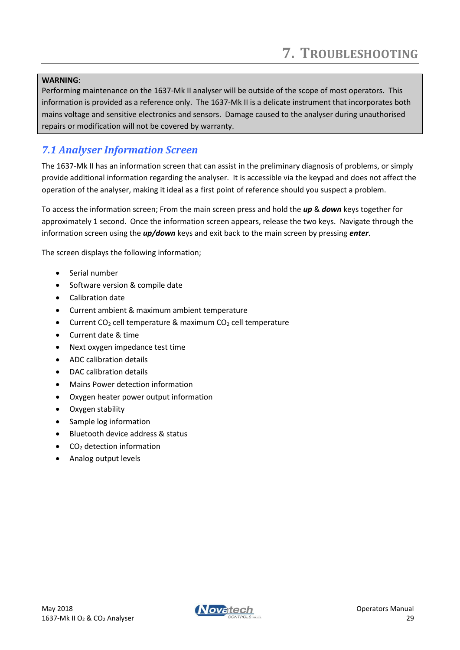#### <span id="page-30-0"></span>**WARNING**:

Performing maintenance on the 1637-Mk II analyser will be outside of the scope of most operators. This information is provided as a reference only. The 1637-Mk II is a delicate instrument that incorporates both mains voltage and sensitive electronics and sensors. Damage caused to the analyser during unauthorised repairs or modification will not be covered by warranty.

# <span id="page-30-1"></span>*7.1 Analyser Information Screen*

The 1637-Mk II has an information screen that can assist in the preliminary diagnosis of problems, or simply provide additional information regarding the analyser. It is accessible via the keypad and does not affect the operation of the analyser, making it ideal as a first point of reference should you suspect a problem.

To access the information screen; From the main screen press and hold the *up* & *down* keys together for approximately 1 second. Once the information screen appears, release the two keys. Navigate through the information screen using the *up/down* keys and exit back to the main screen by pressing *enter*.

The screen displays the following information;

- Serial number
- Software version & compile date
- Calibration date
- Current ambient & maximum ambient temperature
- Current CO<sub>2</sub> cell temperature & maximum CO<sub>2</sub> cell temperature
- Current date & time
- Next oxygen impedance test time
- ADC calibration details
- DAC calibration details
- Mains Power detection information
- Oxygen heater power output information
- Oxygen stability
- Sample log information
- Bluetooth device address & status
- CO<sub>2</sub> detection information
- Analog output levels

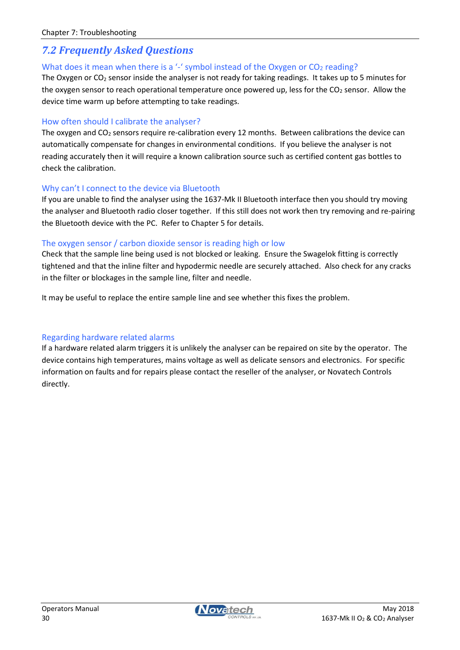# <span id="page-31-0"></span>*7.2 Frequently Asked Questions*

#### What does it mean when there is a '-' symbol instead of the Oxygen or  $CO<sub>2</sub>$  reading?

The Oxygen or CO<sub>2</sub> sensor inside the analyser is not ready for taking readings. It takes up to 5 minutes for the oxygen sensor to reach operational temperature once powered up, less for the  $CO<sub>2</sub>$  sensor. Allow the device time warm up before attempting to take readings.

#### How often should I calibrate the analyser?

The oxygen and  $CO<sub>2</sub>$  sensors require re-calibration every 12 months. Between calibrations the device can automatically compensate for changes in environmental conditions. If you believe the analyser is not reading accurately then it will require a known calibration source such as certified content gas bottles to check the calibration.

#### Why can't I connect to the device via Bluetooth

If you are unable to find the analyser using the 1637-Mk II Bluetooth interface then you should try moving the analyser and Bluetooth radio closer together. If this still does not work then try removing and re-pairing the Bluetooth device with the PC. Refer to Chapter 5 for details.

#### The oxygen sensor / carbon dioxide sensor is reading high or low

Check that the sample line being used is not blocked or leaking. Ensure the Swagelok fitting is correctly tightened and that the inline filter and hypodermic needle are securely attached. Also check for any cracks in the filter or blockages in the sample line, filter and needle.

It may be useful to replace the entire sample line and see whether this fixes the problem.

#### Regarding hardware related alarms

If a hardware related alarm triggers it is unlikely the analyser can be repaired on site by the operator. The device contains high temperatures, mains voltage as well as delicate sensors and electronics. For specific information on faults and for repairs please contact the reseller of the analyser, or Novatech Controls directly.